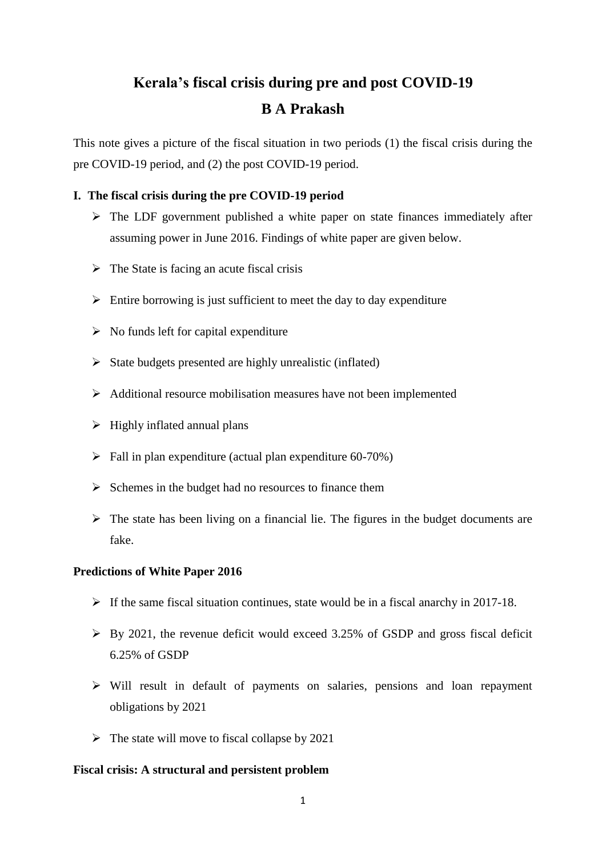# **Kerala's fiscal crisis during pre and post COVID-19 B A Prakash**

This note gives a picture of the fiscal situation in two periods (1) the fiscal crisis during the pre COVID-19 period, and (2) the post COVID-19 period.

# **I. The fiscal crisis during the pre COVID-19 period**

- $\triangleright$  The LDF government published a white paper on state finances immediately after assuming power in June 2016. Findings of white paper are given below.
- $\triangleright$  The State is facing an acute fiscal crisis
- $\triangleright$  Entire borrowing is just sufficient to meet the day to day expenditure
- $\triangleright$  No funds left for capital expenditure
- $\triangleright$  State budgets presented are highly unrealistic (inflated)
- $\triangleright$  Additional resource mobilisation measures have not been implemented
- $\triangleright$  Highly inflated annual plans
- $\triangleright$  Fall in plan expenditure (actual plan expenditure 60-70%)
- $\triangleright$  Schemes in the budget had no resources to finance them
- $\triangleright$  The state has been living on a financial lie. The figures in the budget documents are fake.

# **Predictions of White Paper 2016**

- $\triangleright$  If the same fiscal situation continues, state would be in a fiscal anarchy in 2017-18.
- $\triangleright$  By 2021, the revenue deficit would exceed 3.25% of GSDP and gross fiscal deficit 6.25% of GSDP
- $\triangleright$  Will result in default of payments on salaries, pensions and loan repayment obligations by 2021
- $\triangleright$  The state will move to fiscal collapse by 2021

## **Fiscal crisis: A structural and persistent problem**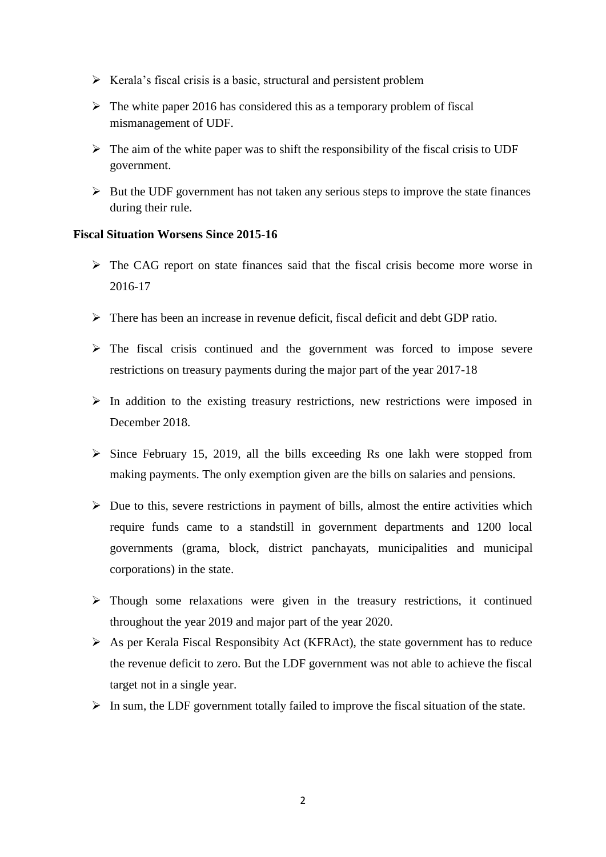- $\triangleright$  Kerala's fiscal crisis is a basic, structural and persistent problem
- $\triangleright$  The white paper 2016 has considered this as a temporary problem of fiscal mismanagement of UDF.
- $\triangleright$  The aim of the white paper was to shift the responsibility of the fiscal crisis to UDF government.
- $\triangleright$  But the UDF government has not taken any serious steps to improve the state finances during their rule.

# **Fiscal Situation Worsens Since 2015-16**

- $\triangleright$  The CAG report on state finances said that the fiscal crisis become more worse in 2016-17
- $\triangleright$  There has been an increase in revenue deficit, fiscal deficit and debt GDP ratio.
- $\triangleright$  The fiscal crisis continued and the government was forced to impose severe restrictions on treasury payments during the major part of the year 2017-18
- $\triangleright$  In addition to the existing treasury restrictions, new restrictions were imposed in December 2018.
- $\triangleright$  Since February 15, 2019, all the bills exceeding Rs one lakh were stopped from making payments. The only exemption given are the bills on salaries and pensions.
- $\triangleright$  Due to this, severe restrictions in payment of bills, almost the entire activities which require funds came to a standstill in government departments and 1200 local governments (grama, block, district panchayats, municipalities and municipal corporations) in the state.
- $\triangleright$  Though some relaxations were given in the treasury restrictions, it continued throughout the year 2019 and major part of the year 2020.
- $\triangleright$  As per Kerala Fiscal Responsibity Act (KFRAct), the state government has to reduce the revenue deficit to zero. But the LDF government was not able to achieve the fiscal target not in a single year.
- $\triangleright$  In sum, the LDF government totally failed to improve the fiscal situation of the state.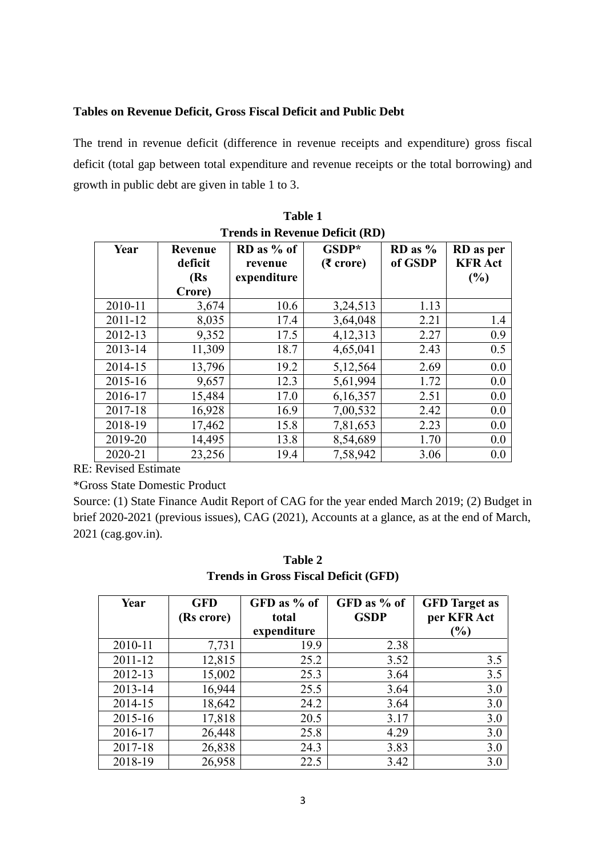# **Tables on Revenue Deficit, Gross Fiscal Deficit and Public Debt**

The trend in revenue deficit (difference in revenue receipts and expenditure) gross fiscal deficit (total gap between total expenditure and revenue receipts or the total borrowing) and growth in public debt are given in table 1 to 3.

| Trends in ite, ende Denen (nD) |                                             |                                        |                             |                        |                                    |
|--------------------------------|---------------------------------------------|----------------------------------------|-----------------------------|------------------------|------------------------------------|
| Year                           | <b>Revenue</b><br>deficit<br>(Rs)<br>Crore) | $RD$ as % of<br>revenue<br>expenditure | GSDP*<br>$(5 \text{ core})$ | $RD$ as $%$<br>of GSDP | RD as per<br><b>KFR</b> Act<br>(%) |
| 2010-11                        | 3,674                                       | 10.6                                   | 3,24,513                    | 1.13                   |                                    |
| 2011-12                        | 8,035                                       | 17.4                                   | 3,64,048                    | 2.21                   | 1.4                                |
| 2012-13                        | 9,352                                       | 17.5                                   | 4,12,313                    | 2.27                   | 0.9                                |
| 2013-14                        | 11,309                                      | 18.7                                   | 4,65,041                    | 2.43                   | 0.5                                |
| 2014-15                        | 13,796                                      | 19.2                                   | 5,12,564                    | 2.69                   | 0.0                                |
| 2015-16                        | 9,657                                       | 12.3                                   | 5,61,994                    | 1.72                   | 0.0                                |
| 2016-17                        | 15,484                                      | 17.0                                   | 6,16,357                    | 2.51                   | 0.0                                |
| 2017-18                        | 16,928                                      | 16.9                                   | 7,00,532                    | 2.42                   | 0.0                                |
| 2018-19                        | 17,462                                      | 15.8                                   | 7,81,653                    | 2.23                   | 0.0                                |
| 2019-20                        | 14,495                                      | 13.8                                   | 8,54,689                    | 1.70                   | 0.0                                |
| 2020-21                        | 23,256                                      | 19.4                                   | 7,58,942                    | 3.06                   | 0.0                                |

**Table 1 Trends in Revenue Deficit (RD)**

RE: Revised Estimate

\*Gross State Domestic Product

Source: (1) State Finance Audit Report of CAG for the year ended March 2019; (2) Budget in brief 2020-2021 (previous issues), CAG (2021), Accounts at a glance, as at the end of March, 2021 (cag.gov.in).

| Table 2                                     |
|---------------------------------------------|
| <b>Trends in Gross Fiscal Deficit (GFD)</b> |

| Year    | <b>GFD</b> | GFD as % of | GFD as % of | <b>GFD</b> Target as         |
|---------|------------|-------------|-------------|------------------------------|
|         | (Rs crore) | total       | <b>GSDP</b> | per KFR Act                  |
|         |            | expenditure |             | $\left( \frac{0}{0} \right)$ |
| 2010-11 | 7,731      | 19.9        | 2.38        |                              |
| 2011-12 | 12,815     | 25.2        | 3.52        | 3.5                          |
| 2012-13 | 15,002     | 25.3        | 3.64        | 3.5                          |
| 2013-14 | 16,944     | 25.5        | 3.64        | 3.0                          |
| 2014-15 | 18,642     | 24.2        | 3.64        | 3.0                          |
| 2015-16 | 17,818     | 20.5        | 3.17        | 3.0                          |
| 2016-17 | 26,448     | 25.8        | 4.29        | 3.0                          |
| 2017-18 | 26,838     | 24.3        | 3.83        | 3.0                          |
| 2018-19 | 26,958     | 22.5        | 3.42        | 3.0                          |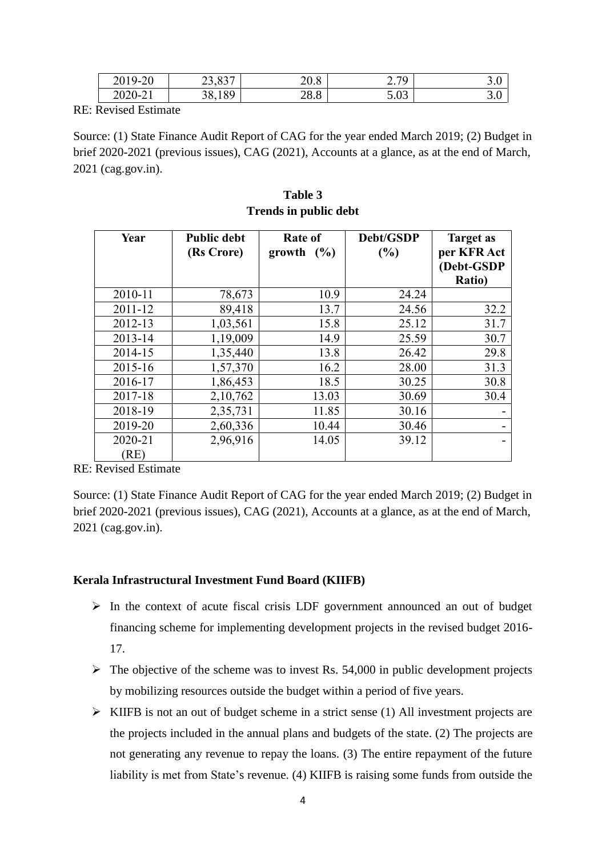| $2019 - 2$<br>ാറ<br>ΖU             | oo oog<br>25.05 | 200<br>20.8 | $\sim$ 70<br>$\sim \cdot$ / $\prime$ | J.V |
|------------------------------------|-----------------|-------------|--------------------------------------|-----|
| $2020 - 2$<br>$\sim$ 1<br>$\sim$ 1 | 38,189          | ററെ<br>20.0 | $\sim$ 00<br>J.VJ                    | J.V |

RE: Revised Estimate

Source: (1) State Finance Audit Report of CAG for the year ended March 2019; (2) Budget in brief 2020-2021 (previous issues), CAG (2021), Accounts at a glance, as at the end of March, 2021 (cag.gov.in).

| Year    | <b>Public debt</b><br>(Rs Crore) | Rate of<br>growth $(\% )$ | Debt/GSDP<br>(%) | <b>Target as</b><br>per KFR Act<br>(Debt-GSDP<br><b>Ratio</b> ) |
|---------|----------------------------------|---------------------------|------------------|-----------------------------------------------------------------|
| 2010-11 | 78,673                           | 10.9                      | 24.24            |                                                                 |
| 2011-12 | 89,418                           | 13.7                      | 24.56            | 32.2                                                            |
| 2012-13 | 1,03,561                         | 15.8                      | 25.12            | 31.7                                                            |
| 2013-14 | 1,19,009                         | 14.9                      | 25.59            | 30.7                                                            |
| 2014-15 | 1,35,440                         | 13.8                      | 26.42            | 29.8                                                            |
| 2015-16 | 1,57,370                         | 16.2                      | 28.00            | 31.3                                                            |
| 2016-17 | 1,86,453                         | 18.5                      | 30.25            | 30.8                                                            |
| 2017-18 | 2,10,762                         | 13.03                     | 30.69            | 30.4                                                            |
| 2018-19 | 2,35,731                         | 11.85                     | 30.16            |                                                                 |
| 2019-20 | 2,60,336                         | 10.44                     | 30.46            |                                                                 |
| 2020-21 | 2,96,916                         | 14.05                     | 39.12            |                                                                 |
| (RE)    |                                  |                           |                  |                                                                 |

**Table 3 Trends in public debt**

RE: Revised Estimate

Source: (1) State Finance Audit Report of CAG for the year ended March 2019; (2) Budget in brief 2020-2021 (previous issues), CAG (2021), Accounts at a glance, as at the end of March, 2021 (cag.gov.in).

# **Kerala Infrastructural Investment Fund Board (KIIFB)**

- $\triangleright$  In the context of acute fiscal crisis LDF government announced an out of budget financing scheme for implementing development projects in the revised budget 2016- 17.
- $\triangleright$  The objective of the scheme was to invest Rs. 54,000 in public development projects by mobilizing resources outside the budget within a period of five years.
- $\triangleright$  KIIFB is not an out of budget scheme in a strict sense (1) All investment projects are the projects included in the annual plans and budgets of the state. (2) The projects are not generating any revenue to repay the loans. (3) The entire repayment of the future liability is met from State's revenue. (4) KIIFB is raising some funds from outside the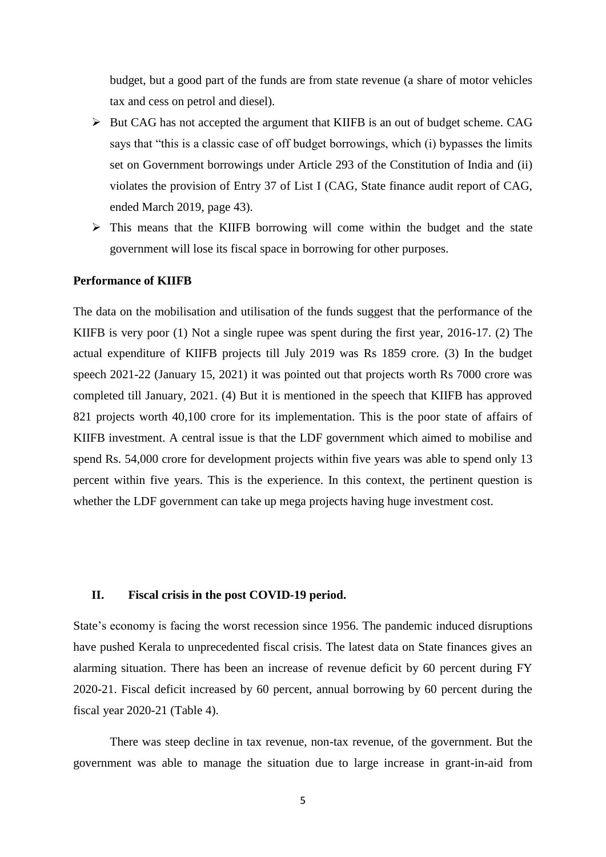budget, but a good part of the funds are from state revenue (a share of motor vehicles tax and cess on petrol and diesel).

- $\triangleright$  But CAG has not accepted the argument that KIIFB is an out of budget scheme. CAG says that "this is a classic case of off budget borrowings, which (i) bypasses the limits set on Government borrowings under Article 293 of the Constitution of India and (ii) violates the provision of Entry 37 of List I (CAG, State finance audit report of CAG, ended March 2019, page 43).
- $\triangleright$  This means that the KIIFB borrowing will come within the budget and the state government will lose its fiscal space in borrowing for other purposes.

#### **Performance of KIIFB**

The data on the mobilisation and utilisation of the funds suggest that the performance of the KIIFB is very poor (1) Not a single rupee was spent during the first year, 2016-17. (2) The actual expenditure of KIIFB projects till July 2019 was Rs 1859 crore. (3) In the budget speech 2021-22 (January 15, 2021) it was pointed out that projects worth Rs 7000 crore was completed till January, 2021. (4) But it is mentioned in the speech that KIIFB has approved 821 projects worth 40,100 crore for its implementation. This is the poor state of affairs of KIIFB investment. A central issue is that the LDF government which aimed to mobilise and spend Rs. 54,000 crore for development projects within five years was able to spend only 13 percent within five years. This is the experience. In this context, the pertinent question is whether the LDF government can take up mega projects having huge investment cost.

## **II. Fiscal crisis in the post COVID-19 period.**

State's economy is facing the worst recession since 1956. The pandemic induced disruptions have pushed Kerala to unprecedented fiscal crisis. The latest data on State finances gives an alarming situation. There has been an increase of revenue deficit by 60 percent during FY 2020-21. Fiscal deficit increased by 60 percent, annual borrowing by 60 percent during the fiscal year 2020-21 (Table 4).

There was steep decline in tax revenue, non-tax revenue, of the government. But the government was able to manage the situation due to large increase in grant-in-aid from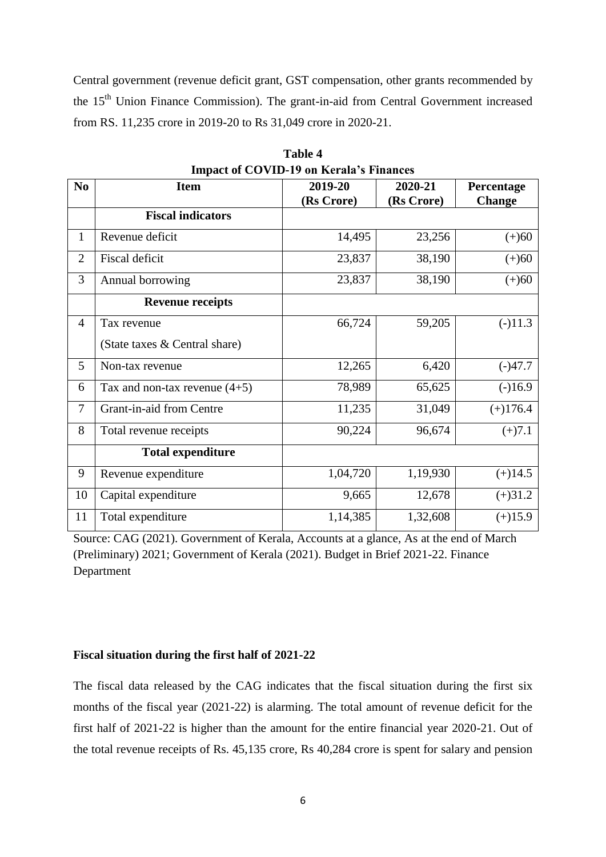Central government (revenue deficit grant, GST compensation, other grants recommended by the 15<sup>th</sup> Union Finance Commission). The grant-in-aid from Central Government increased from RS. 11,235 crore in 2019-20 to Rs 31,049 crore in 2020-21.

|                | Impact of CO viD-17 on ixeraia surfamecs |            |            |               |  |  |
|----------------|------------------------------------------|------------|------------|---------------|--|--|
| N <sub>0</sub> | <b>Item</b>                              | 2019-20    | 2020-21    | Percentage    |  |  |
|                |                                          | (Rs Crore) | (Rs Crore) | <b>Change</b> |  |  |
|                | <b>Fiscal indicators</b>                 |            |            |               |  |  |
| $\mathbf{1}$   | Revenue deficit                          | 14,495     | 23,256     | $(+)60$       |  |  |
| $\overline{2}$ | <b>Fiscal deficit</b>                    | 23,837     | 38,190     | $(+)60$       |  |  |
| 3              | Annual borrowing                         | 23,837     | 38,190     | $(+)60$       |  |  |
|                | <b>Revenue receipts</b>                  |            |            |               |  |  |
| $\overline{4}$ | Tax revenue                              | 66,724     | 59,205     | $(-)11.3$     |  |  |
|                | (State taxes & Central share)            |            |            |               |  |  |
| 5              | Non-tax revenue                          | 12,265     | 6,420      | $(-)47.7$     |  |  |
| 6              | Tax and non-tax revenue $(4+5)$          | 78,989     | 65,625     | $(-)16.9$     |  |  |
| 7              | Grant-in-aid from Centre                 | 11,235     | 31,049     | $(+)176.4$    |  |  |
| 8              | Total revenue receipts                   | 90,224     | 96,674     | $(+)7.1$      |  |  |
|                | <b>Total expenditure</b>                 |            |            |               |  |  |
| 9              | Revenue expenditure                      | 1,04,720   | 1,19,930   | $(+)14.5$     |  |  |
| 10             | Capital expenditure                      | 9,665      | 12,678     | $(+)31.2$     |  |  |
| 11             | Total expenditure                        | 1,14,385   | 1,32,608   | $(+)15.9$     |  |  |

**Table 4 Impact of COVID-19 on Kerala's Finances**

Source: CAG (2021). Government of Kerala, Accounts at a glance, As at the end of March (Preliminary) 2021; Government of Kerala (2021). Budget in Brief 2021-22. Finance Department

## **Fiscal situation during the first half of 2021-22**

The fiscal data released by the CAG indicates that the fiscal situation during the first six months of the fiscal year (2021-22) is alarming. The total amount of revenue deficit for the first half of 2021-22 is higher than the amount for the entire financial year 2020-21. Out of the total revenue receipts of Rs. 45,135 crore, Rs 40,284 crore is spent for salary and pension